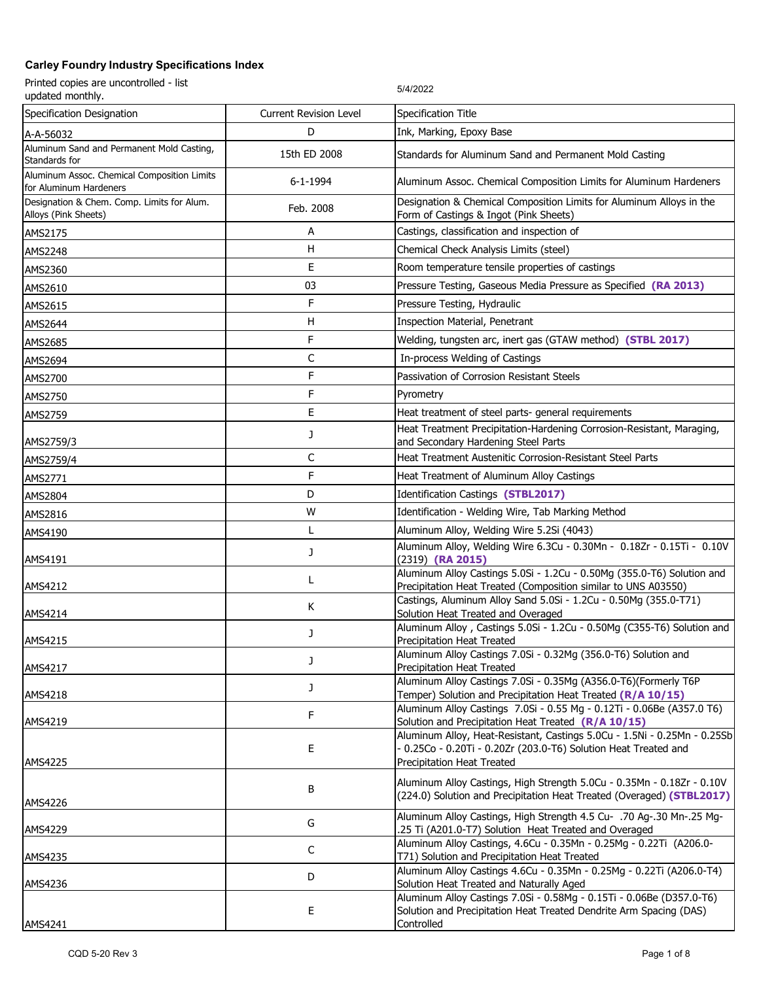| Printed copies are uncontrolled - list<br>updated monthly.            |                               | 5/4/2022                                                                                                                                                                  |
|-----------------------------------------------------------------------|-------------------------------|---------------------------------------------------------------------------------------------------------------------------------------------------------------------------|
| Specification Designation                                             | <b>Current Revision Level</b> | Specification Title                                                                                                                                                       |
| A-A-56032                                                             | D                             | Ink, Marking, Epoxy Base                                                                                                                                                  |
| Aluminum Sand and Permanent Mold Casting,<br>Standards for            | 15th ED 2008                  | Standards for Aluminum Sand and Permanent Mold Casting                                                                                                                    |
| Aluminum Assoc. Chemical Composition Limits<br>for Aluminum Hardeners | 6-1-1994                      | Aluminum Assoc. Chemical Composition Limits for Aluminum Hardeners                                                                                                        |
| Designation & Chem. Comp. Limits for Alum.<br>Alloys (Pink Sheets)    | Feb. 2008                     | Designation & Chemical Composition Limits for Aluminum Alloys in the<br>Form of Castings & Ingot (Pink Sheets)                                                            |
| AMS2175                                                               | А                             | Castings, classification and inspection of                                                                                                                                |
| AMS2248                                                               | H                             | Chemical Check Analysis Limits (steel)                                                                                                                                    |
| AMS2360                                                               | E                             | Room temperature tensile properties of castings                                                                                                                           |
| AMS2610                                                               | 03                            | Pressure Testing, Gaseous Media Pressure as Specified (RA 2013)                                                                                                           |
| AMS2615                                                               | F                             | Pressure Testing, Hydraulic                                                                                                                                               |
| AMS2644                                                               | н                             | Inspection Material, Penetrant                                                                                                                                            |
| AMS2685                                                               | F                             | Welding, tungsten arc, inert gas (GTAW method) (STBL 2017)                                                                                                                |
| AMS2694                                                               | С                             | In-process Welding of Castings                                                                                                                                            |
| AMS2700                                                               | F                             | Passivation of Corrosion Resistant Steels                                                                                                                                 |
| AMS2750                                                               | F                             | Pyrometry                                                                                                                                                                 |
| AMS2759                                                               | Е                             | Heat treatment of steel parts- general requirements                                                                                                                       |
| AMS2759/3                                                             | J                             | Heat Treatment Precipitation-Hardening Corrosion-Resistant, Maraging,<br>and Secondary Hardening Steel Parts                                                              |
| AMS2759/4                                                             | С                             | Heat Treatment Austenitic Corrosion-Resistant Steel Parts                                                                                                                 |
| AMS2771                                                               | F                             | Heat Treatment of Aluminum Alloy Castings                                                                                                                                 |
| AMS2804                                                               | D                             | Identification Castings (STBL2017)                                                                                                                                        |
| AMS2816                                                               | W                             | Identification - Welding Wire, Tab Marking Method                                                                                                                         |
| AMS4190                                                               | Г                             | Aluminum Alloy, Welding Wire 5.2Si (4043)                                                                                                                                 |
| AMS4191                                                               | J                             | Aluminum Alloy, Welding Wire 6.3Cu - 0.30Mn - 0.18Zr - 0.15Ti - 0.10V<br>(2319) (RA 2015)                                                                                 |
| AMS4212                                                               | L                             | Aluminum Alloy Castings 5.0Si - 1.2Cu - 0.50Mg (355.0-T6) Solution and<br>Precipitation Heat Treated (Composition similar to UNS A03550)                                  |
| AMS4214                                                               | Κ                             | Castings, Aluminum Alloy Sand 5.0Si - 1.2Cu - 0.50Mg (355.0-T71)<br>Solution Heat Treated and Overaged                                                                    |
| AMS4215                                                               | J                             | Aluminum Alloy, Castings 5.0Si - 1.2Cu - 0.50Mg (C355-T6) Solution and<br>Precipitation Heat Treated                                                                      |
| AMS4217                                                               | J                             | Aluminum Alloy Castings 7.0Si - 0.32Mg (356.0-T6) Solution and<br>Precipitation Heat Treated                                                                              |
| AMS4218                                                               | J                             | Aluminum Alloy Castings 7.0Si - 0.35Mg (A356.0-T6)(Formerly T6P<br>Temper) Solution and Precipitation Heat Treated (R/A 10/15)                                            |
| AMS4219                                                               | F                             | Aluminum Alloy Castings 7.0Si - 0.55 Mg - 0.12Ti - 0.06Be (A357.0 T6)<br>Solution and Precipitation Heat Treated (R/A 10/15)                                              |
| AMS4225                                                               | E                             | Aluminum Alloy, Heat-Resistant, Castings 5.0Cu - 1.5Ni - 0.25Mn - 0.25Sb<br>- 0.25Co - 0.20Ti - 0.20Zr (203.0-T6) Solution Heat Treated and<br>Precipitation Heat Treated |
| AMS4226                                                               | В                             | Aluminum Alloy Castings, High Strength 5.0Cu - 0.35Mn - 0.18Zr - 0.10V<br>(224.0) Solution and Precipitation Heat Treated (Overaged) (STBL2017)                           |
| AMS4229                                                               | G                             | Aluminum Alloy Castings, High Strength 4.5 Cu- .70 Ag-.30 Mn-.25 Mg-<br>.25 Ti (A201.0-T7) Solution Heat Treated and Overaged                                             |
| AMS4235                                                               | C                             | Aluminum Alloy Castings, 4.6Cu - 0.35Mn - 0.25Mg - 0.22Ti (A206.0-<br>T71) Solution and Precipitation Heat Treated                                                        |
| AMS4236                                                               | D                             | Aluminum Alloy Castings 4.6Cu - 0.35Mn - 0.25Mg - 0.22Ti (A206.0-T4)<br>Solution Heat Treated and Naturally Aged                                                          |
| AMS4241                                                               | E                             | Aluminum Alloy Castings 7.0Si - 0.58Mg - 0.15Ti - 0.06Be (D357.0-T6)<br>Solution and Precipitation Heat Treated Dendrite Arm Spacing (DAS)<br>Controlled                  |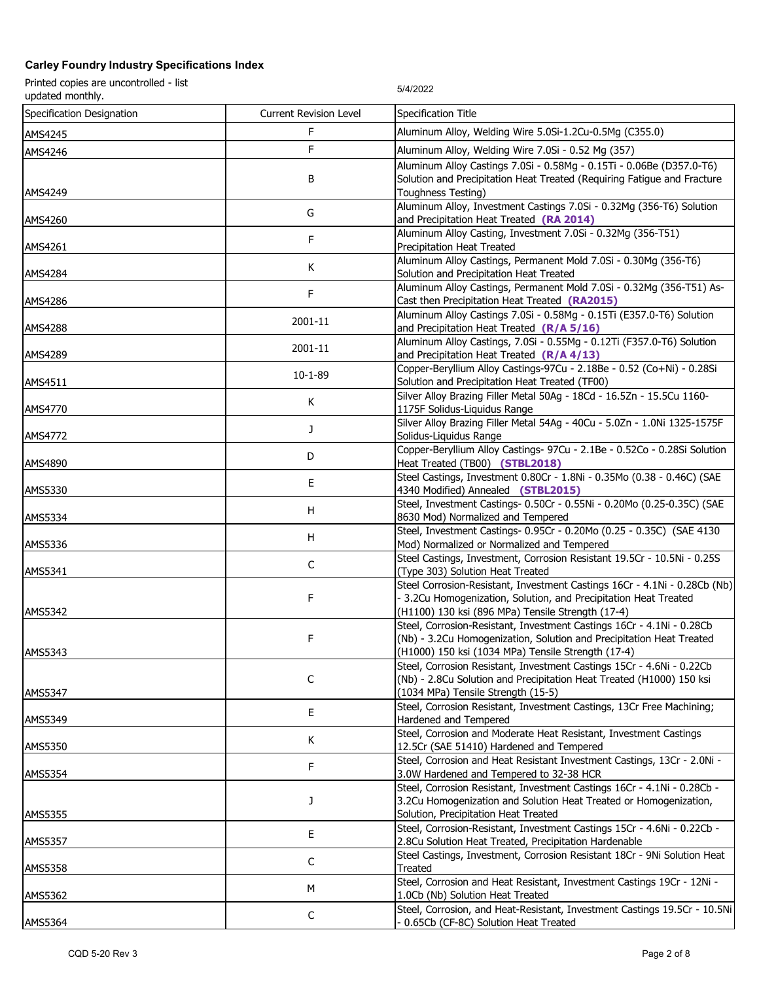Printed copies are uncontrolled - list Printed copies are uncontrolled - list<br>updated monthly.

Specification Designation **Current Revision Level** Specification Title AMS4245 **AMS4245** F Aluminum Alloy, Welding Wire 5.0Si-1.2Cu-0.5Mg (C355.0) AMS4246 **AMS4246 E** Aluminum Alloy, Welding Wire 7.0Si - 0.52 Mg (357) AMS4249 B Aluminum Alloy Castings 7.0Si - 0.58Mg - 0.15Ti - 0.06Be (D357.0-T6) Solution and Precipitation Heat Treated (Requiring Fatigue and Fracture Toughness Testing) Aluminum Alloy, Investment Castings 7.0Si - 0.32Mg (356-T6) Solution<br>and Precipitation Heat Treated (RA 2014) and Precipitation Heat Treated **(RA 2014)** Aluminum Alloy Casting, Investment 7.0Si - 0.32Mg (356-T51)<br>Precipitation Heat Treated Precipitation Heat Treated K Aluminum Alloy Castings, Permanent Mold 7.0Si - 0.30Mg (356-T6)<br>AMS4284 Solution and Precipitation Heat Treated<br>Aluminum Alloy Castings, Permanent Mold 7.0Si - 0.32Mg (356-T51) As-Solution and Precipitation Heat Treated Aluminum Alloy Castings, Permanent Mold 7.0Si - 0.32Mg (356-T51) As-<br>Cast then Precipitation Heat Treated **(RA2015)** Aluminum Alloy Castings 7.0Si - 0.58Mg - 0.15Ti (E357.0-T6) Solution<br>and Precipitation Heat Treated **(R/A 5/16)**<br>AMS4288 Aluminum Alloy Castings, 7.0Si - 0.55Mg - 0.12Ti (F357.0-T6) Solution<br>
and Precipitation Heat Treated **(R/A 4/13)** AMS4511 10-1-89 Copper-Beryllium Alloy Castings-97Cu - 2.18Be - 0.52 (Co+Ni) - 0.28Si [Co+Ni] - 0.28Si [Co+Ni<br>Solution and Precipitation Heat Treated (TF00) AMS4770 K Silver Alloy Brazing Filler Metal 50Ag - 18Cd - 16.5Zn - 15.5Cu 1160-<br>1175F Solidus-Liauidus Range 1175F Solidus-Liquidus Range AMS4772 <sup>J</sup> Silver Alloy Brazing Filler Metal 54Ag - 40Cu - 5.0Zn - 1.0Ni 1325-1575F Solidus-Liquidus Range AMS4890 **D** D Copper-Beryllium Alloy Castings- 97Cu - 2.1Be - 0.52Co - 0.28Si Solution<br>Heat Treated (TB00) (STBL2018) Heat Treated (TB00) **(STBL2018)** AMS5330 BE Steel Castings, Investment 0.80Cr - 1.8Ni - 0.35Mo (0.38 - 0.46C) (SAE<br>AMS5330 BE 4340 Modified) Annealed (STBL2015) 4340 Modified) Annealed **(STBL2015)** AMS5334 H Steel, Investment Castings- 0.50Cr - 0.55Ni - 0.20Mo (0.25-0.35C) (SAE<br>Steel. Investment Castings- 0.95Cr - 0.20Mo (0.25 - 0.35C) (SAE 4130 8630 Mod) Normalized and Tempered AMS5336 <sup>H</sup> Steel, Investment Castings- 0.95Cr - 0.20Mo (0.25 - 0.35C) (SAE 4130 Mod) Normalized or Normalized and Tempered AMS5341 C Steel Castings, Investment, Corrosion Resistant 19.5Cr - 10.5Ni - 0.25S<br>(Type 303) Solution Heat Treated (Type 303) Solution Heat Treated AMS5342 F Steel Corrosion-Resistant, Investment Castings 16Cr - 4.1Ni - 0.28Cb (Nb) - 3.2Cu Homogenization, Solution, and Precipitation Heat Treated (H1100) 130 ksi (896 MPa) Tensile Strength (17-4) AMS5343 F Steel, Corrosion-Resistant, Investment Castings 16Cr - 4.1Ni - 0.28Cb (Nb) - 3.2Cu Homogenization, Solution and Precipitation Heat Treated (H1000) 150 ksi (1034 MPa) Tensile Strength (17-4) AMS5347 C Steel, Corrosion Resistant, Investment Castings 15Cr - 4.6Ni - 0.22Cb (Nb) - 2.8Cu Solution and Precipitation Heat Treated (H1000) 150 ksi (1034 MPa) Tensile Strength (15-5) AMS5349 **E** Steel, Corrosion Resistant, Investment Castings, 13Cr Free Machining;<br>
Hardened and Tempered<br>
Steel, Corrosion and Moderate Heat Resistant, Investment Castings Hardened and Tempered AMS5350 K Steel, Corrosion and Moderate Heat Resistant, Investment Castings<br>212.5Cr (SAE 51410) Hardened and Tempered and Tempered AMS5354 **F** Steel, Corrosion and Heat Resistant Investment Castings, 13Cr - 2.0Ni -<br>3.0W Hardened and Tempered to 32-38 HCR 3.0W Hardened and Tempered to 32-38 HCR AMS5355 J Steel, Corrosion Resistant, Investment Castings 16Cr - 4.1Ni - 0.28Cb - 3.2Cu Homogenization and Solution Heat Treated or Homogenization, Solution, Precipitation Heat Treated AMS5357 <sup>E</sup> Steel, Corrosion-Resistant, Investment Castings 15Cr - 4.6Ni - 0.22Cb - 2.8Cu Solution Heat Treated, Precipitation Hardenable AMS5358 Channels Communication Communication Communication Communication Resistant 18Cr - 9Ni Solution Heat<br>Treated Treated AMS5362 M Steel, Corrosion and Heat Resistant, Investment Castings 19Cr - 12Ni -<br>1.0Cb (Nb) Solution Heat Treated 1.0Cb (Nb) Solution Heat Treated AMS5364 C Steel, Corrosion, and Heat-Resistant, Investment Castings 19.5Cr - 10.5Ni<br>P. 65Cb (CF-8C) Solution Heat Treated - 10.5Ni - 10.5Ni - 0.65Cb (CF-8C) Solution Heat Treated - 0.65Cb (CF-8C) Solution Heat Treated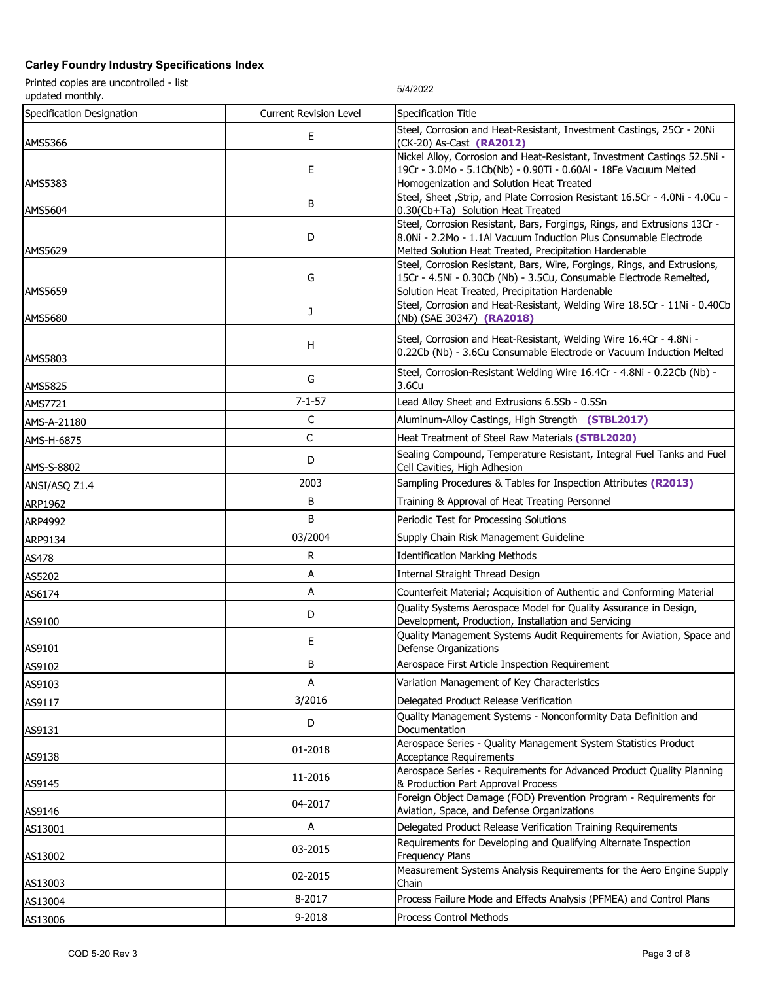Printed copies are uncontrolled - list Printed copies are uncontrolled - list<br>updated monthly.

Specification Designation Current Revision Level Specification Title AMS5366 E Steel, Corrosion and Heat-Resistant, Investment Castings, 25Cr - 20Ni<br>CK-20) As-Cast (RA2012) (CK-20) As-Cast **(RA2012)** AMS5383 E Nickel Alloy, Corrosion and Heat-Resistant, Investment Castings 52.5Ni - 19Cr - 3.0Mo - 5.1Cb(Nb) - 0.90Ti - 0.60Al - 18Fe Vacuum Melted Homogenization and Solution Heat Treated AMS5604 B Steel, Sheet ,Strip, and Plate Corrosion Resistant 16.5Cr - 4.0Ni - 4.0Cu - 4.0Cu - 4.0Cu - 5.5Cr - 4.0Ni - 4.0Cu - 4.0Cu - 4.0Cu - 4.0Cu - 4.0Cu - 4.0Cu - 4.0Cu - 4.0Cu - 4.0Cu - 4.0Cu - 4.0Cu - 4.0Cu - 4.0Cu - 0.30(Cb+Ta) Solution Heat Treated AMS5629 D Steel, Corrosion Resistant, Bars, Forgings, Rings, and Extrusions 13Cr - 8.0Ni - 2.2Mo - 1.1Al Vacuum Induction Plus Consumable Electrode Melted Solution Heat Treated, Precipitation Hardenable AMS5659 G Steel, Corrosion Resistant, Bars, Wire, Forgings, Rings, and Extrusions, 15Cr - 4.5Ni - 0.30Cb (Nb) - 3.5Cu, Consumable Electrode Remelted, Solution Heat Treated, Precipitation Hardenable AMS5680 **J** Steel, Corrosion and Heat-Resistant, Welding Wire 18.5Cr - 11Ni - 0.40Cb<br>(Nb) (SAE 30347) (RA2018) (Nb) (SAE 30347) **(RA2018)** AMS5803 <sup>H</sup> Steel, Corrosion and Heat-Resistant, Welding Wire 16.4Cr - 4.8Ni - 0.22Cb (Nb) - 3.6Cu Consumable Electrode or Vacuum Induction Melted AMS5825 **Steel, Corrosion-Resistant Welding Wire 16.4Cr** - 4.8Ni - 0.22Cb (Nb) -<br>3.6Cu 3.6Cu AMS7721 **19. In the contract of the Case of the Case of the Case of the Case of the Case of the Case of the Case of the Case of the Case of the Case of the Case of the Case of the Case of the Case of the Case of the Case o** AMS-A-21180 C Aluminum-Alloy Castings, High Strength **(STBL2017)** AMS-H-6875 **C** Heat Treatment of Steel Raw Materials **(STBL2020)** AMS-S-8802 **Sealing Compound, Temperature Resistant, Integral Fuel Tanks and Fuel AMS-S-8802** Cell Cavities, High Adhesion ANSI/ASQ Z1.4 **Notation Contract R2013** 2003 Sampling Procedures & Tables for Inspection Attributes (R2013) ARP1962 B Training & Approval of Heat Treating Personnel ARP4992 **B** Periodic Test for Processing Solutions ARP9134 03/2004 Supply Chain Risk Management Guideline AS478 **R Identification Marking Methods** ASS202 **A Internal Straight Thread Design** AS6174 A Counterfeit Material; Acquisition of Authentic and Conforming Material<br>Quality Systems Aerospace Model for Quality Assurance in Design, AS9100 D Quality Systems Aerospace Model for Quality Assurance in Design,<br>
Development, Production, Installation and Servicing AS9101 **E** Quality Management Systems Audit Requirements for Aviation, Space and<br>
Defense Organizations Defense Organizations AS9102 B Aerospace First Article Inspection Requirement AS9103 **A CONFERGNATIST CONSUMING MANUSIC CONSUMING A CONSUMING A Variation Management of Key Characteristics** AS9117 **3/2016 Delegated Product Release Verification** AS9131 <sup>D</sup> Quality Management Systems - Nonconformity Data Definition and Documentation Aerospace Series - Quality Management System Statistics Product<br>Acceptance Requirements Acceptance Requirements Aerospace Series - Requirements for Advanced Product Quality Planning<br>AS9145 Assessment of the Californian Superior Reproved Processing and Assessment Approval Process & Production Part Approval Process AS9146 **AS9146 Example 2017 Example 12017** Foreign Object Damage (FOD) Prevention Program - Requirements for<br>Aviation, Space, and Defense Organizations Aviation, Space, and Defense Organizations AS13001 **A A Delegated Product Release Verification Training Requirements** AS13002 **Example 2015** Requirements for Developing and Qualifying Alternate Inspection<br>Frequency Plans Frequency Plans AS13003 **12-2015** Measurement Systems Analysis Requirements for the Aero Engine Supply<br>Chain Chain AS13004 8-2017 Process Failure Mode and Effects Analysis (PFMEA) and Control Plans

AS13006 **Process Control Methods** Process Control Methods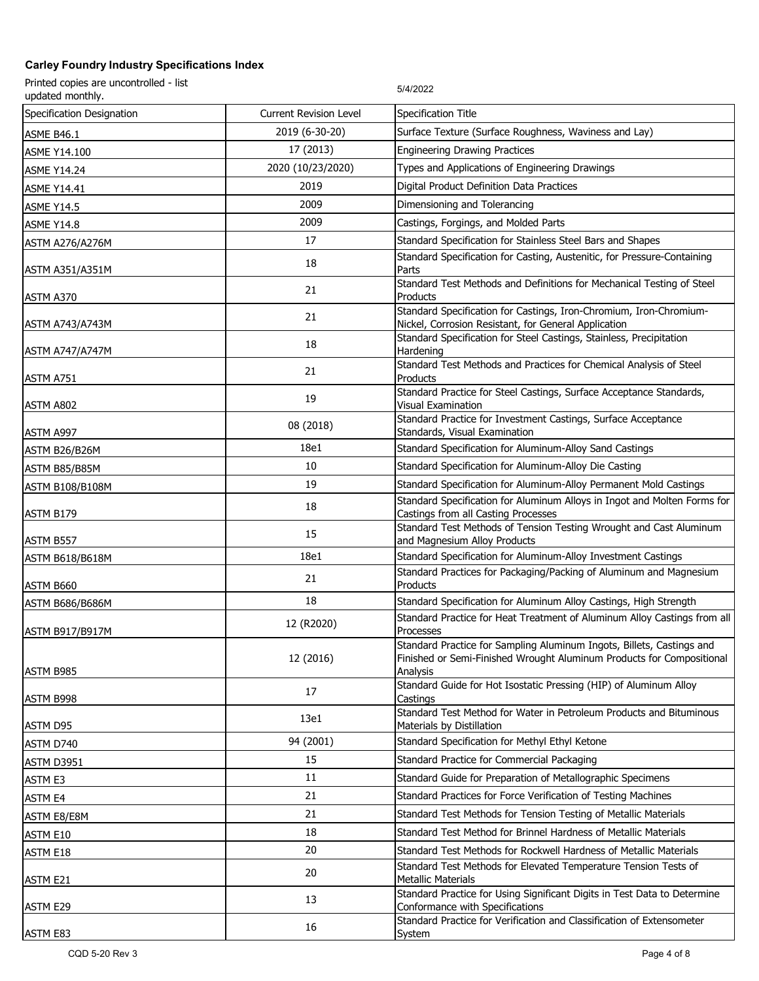| Printed copies are uncontrolled - list<br>updated monthly. |                               | 5/4/2022                                                                                                                                      |
|------------------------------------------------------------|-------------------------------|-----------------------------------------------------------------------------------------------------------------------------------------------|
| Specification Designation                                  | <b>Current Revision Level</b> | Specification Title                                                                                                                           |
| <b>ASME B46.1</b>                                          | 2019 (6-30-20)                | Surface Texture (Surface Roughness, Waviness and Lay)                                                                                         |
| <b>ASME Y14.100</b>                                        | 17 (2013)                     | <b>Engineering Drawing Practices</b>                                                                                                          |
| <b>ASME Y14.24</b>                                         | 2020 (10/23/2020)             | Types and Applications of Engineering Drawings                                                                                                |
| <b>ASME Y14.41</b>                                         | 2019                          | Digital Product Definition Data Practices                                                                                                     |
| <b>ASME Y14.5</b>                                          | 2009                          | Dimensioning and Tolerancing                                                                                                                  |
| <b>ASME Y14.8</b>                                          | 2009                          | Castings, Forgings, and Molded Parts                                                                                                          |
| ASTM A276/A276M                                            | 17                            | Standard Specification for Stainless Steel Bars and Shapes                                                                                    |
|                                                            | 18                            | Standard Specification for Casting, Austenitic, for Pressure-Containing                                                                       |
| <b>ASTM A351/A351M</b>                                     |                               | Parts<br>Standard Test Methods and Definitions for Mechanical Testing of Steel                                                                |
| ASTM A370                                                  | 21                            | Products                                                                                                                                      |
|                                                            | 21                            | Standard Specification for Castings, Iron-Chromium, Iron-Chromium-                                                                            |
| <b>ASTM A743/A743M</b>                                     |                               | Nickel, Corrosion Resistant, for General Application<br>Standard Specification for Steel Castings, Stainless, Precipitation                   |
| <b>ASTM A747/A747M</b>                                     | 18                            | Hardening                                                                                                                                     |
|                                                            | 21                            | Standard Test Methods and Practices for Chemical Analysis of Steel                                                                            |
| ASTM A751                                                  |                               | Products<br>Standard Practice for Steel Castings, Surface Acceptance Standards,                                                               |
| ASTM A802                                                  | 19                            | Visual Examination                                                                                                                            |
|                                                            | 08 (2018)                     | Standard Practice for Investment Castings, Surface Acceptance                                                                                 |
| ASTM A997                                                  | 18e1                          | Standards, Visual Examination<br>Standard Specification for Aluminum-Alloy Sand Castings                                                      |
| ASTM B26/B26M                                              | 10                            | Standard Specification for Aluminum-Alloy Die Casting                                                                                         |
| ASTM B85/B85M                                              | 19                            |                                                                                                                                               |
| <b>ASTM B108/B108M</b>                                     |                               | Standard Specification for Aluminum-Alloy Permanent Mold Castings<br>Standard Specification for Aluminum Alloys in Ingot and Molten Forms for |
| ASTM B179                                                  | 18                            | Castings from all Casting Processes                                                                                                           |
| ASTM B557                                                  | 15                            | Standard Test Methods of Tension Testing Wrought and Cast Aluminum<br>and Magnesium Alloy Products                                            |
| <b>ASTM B618/B618M</b>                                     | 18e1                          | Standard Specification for Aluminum-Alloy Investment Castings                                                                                 |
| ASTM B660                                                  | 21                            | Standard Practices for Packaging/Packing of Aluminum and Magnesium<br>Products                                                                |
| <b>ASTM B686/B686M</b>                                     | 18                            | Standard Specification for Aluminum Alloy Castings, High Strength                                                                             |
| <b>ASTM B917/B917M</b>                                     | 12 (R2020)                    | Standard Practice for Heat Treatment of Aluminum Alloy Castings from all<br>Processes                                                         |
|                                                            |                               | Standard Practice for Sampling Aluminum Ingots, Billets, Castings and                                                                         |
|                                                            | 12 (2016)                     | Finished or Semi-Finished Wrought Aluminum Products for Compositional                                                                         |
| ASTM B985                                                  |                               | Analysis<br>Standard Guide for Hot Isostatic Pressing (HIP) of Aluminum Alloy                                                                 |
| ASTM B998                                                  | 17                            | Castings                                                                                                                                      |
| ASTM D95                                                   | 13e1                          | Standard Test Method for Water in Petroleum Products and Bituminous<br>Materials by Distillation                                              |
| ASTM D740                                                  | 94 (2001)                     | Standard Specification for Methyl Ethyl Ketone                                                                                                |
| ASTM D3951                                                 | 15                            | Standard Practice for Commercial Packaging                                                                                                    |
| ASTM E3                                                    | 11                            | Standard Guide for Preparation of Metallographic Specimens                                                                                    |
| ASTM E4                                                    | 21                            | Standard Practices for Force Verification of Testing Machines                                                                                 |
| ASTM E8/E8M                                                | 21                            | Standard Test Methods for Tension Testing of Metallic Materials                                                                               |
| ASTM E10                                                   | 18                            | Standard Test Method for Brinnel Hardness of Metallic Materials                                                                               |
| ASTM E18                                                   | 20                            | Standard Test Methods for Rockwell Hardness of Metallic Materials                                                                             |
|                                                            | 20                            | Standard Test Methods for Elevated Temperature Tension Tests of                                                                               |
| ASTM E21                                                   |                               | <b>Metallic Materials</b><br>Standard Practice for Using Significant Digits in Test Data to Determine                                         |
| ASTM E29                                                   | 13                            | Conformance with Specifications                                                                                                               |
|                                                            | 16                            | Standard Practice for Verification and Classification of Extensometer                                                                         |
| ASTM E83                                                   |                               | System                                                                                                                                        |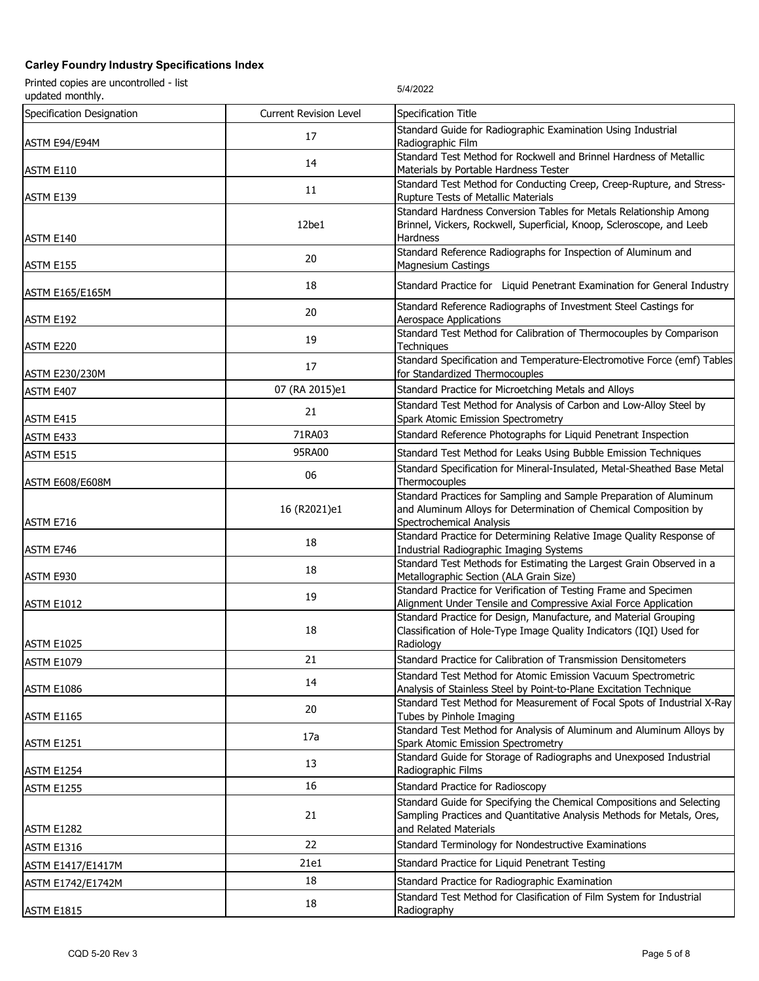| Printed copies are uncontrolled - list<br>updated monthly. |                               | 5/4/2022                                                                                                                                                                 |
|------------------------------------------------------------|-------------------------------|--------------------------------------------------------------------------------------------------------------------------------------------------------------------------|
| Specification Designation                                  | <b>Current Revision Level</b> | Specification Title                                                                                                                                                      |
| ASTM E94/E94M                                              | 17                            | Standard Guide for Radiographic Examination Using Industrial<br>Radiographic Film                                                                                        |
| ASTM E110                                                  | 14                            | Standard Test Method for Rockwell and Brinnel Hardness of Metallic<br>Materials by Portable Hardness Tester                                                              |
| ASTM E139                                                  | 11                            | Standard Test Method for Conducting Creep, Creep-Rupture, and Stress-<br>Rupture Tests of Metallic Materials                                                             |
| ASTM E140                                                  | 12be1                         | Standard Hardness Conversion Tables for Metals Relationship Among<br>Brinnel, Vickers, Rockwell, Superficial, Knoop, Scleroscope, and Leeb<br><b>Hardness</b>            |
| ASTM E155                                                  | 20                            | Standard Reference Radiographs for Inspection of Aluminum and<br><b>Magnesium Castings</b>                                                                               |
| <b>ASTM E165/E165M</b>                                     | 18                            | Standard Practice for Liquid Penetrant Examination for General Industry                                                                                                  |
| ASTM E192                                                  | 20                            | Standard Reference Radiographs of Investment Steel Castings for<br>Aerospace Applications                                                                                |
| ASTM E220                                                  | 19                            | Standard Test Method for Calibration of Thermocouples by Comparison<br>Techniques                                                                                        |
| <b>ASTM E230/230M</b>                                      | 17                            | Standard Specification and Temperature-Electromotive Force (emf) Tables<br>for Standardized Thermocouples                                                                |
| ASTM E407                                                  | 07 (RA 2015)e1                | Standard Practice for Microetching Metals and Alloys                                                                                                                     |
| ASTM E415                                                  | 21                            | Standard Test Method for Analysis of Carbon and Low-Alloy Steel by<br>Spark Atomic Emission Spectrometry                                                                 |
| ASTM E433                                                  | 71RA03                        | Standard Reference Photographs for Liquid Penetrant Inspection                                                                                                           |
| ASTM E515                                                  | 95RA00                        | Standard Test Method for Leaks Using Bubble Emission Techniques                                                                                                          |
| ASTM E608/E608M                                            | 06                            | Standard Specification for Mineral-Insulated, Metal-Sheathed Base Metal<br>Thermocouples                                                                                 |
| ASTM E716                                                  | 16 (R2021)e1                  | Standard Practices for Sampling and Sample Preparation of Aluminum<br>and Aluminum Alloys for Determination of Chemical Composition by<br>Spectrochemical Analysis       |
| ASTM E746                                                  | 18                            | Standard Practice for Determining Relative Image Quality Response of<br>Industrial Radiographic Imaging Systems                                                          |
| ASTM E930                                                  | 18                            | Standard Test Methods for Estimating the Largest Grain Observed in a<br>Metallographic Section (ALA Grain Size)                                                          |
| ASTM E1012                                                 | 19                            | Standard Practice for Verification of Testing Frame and Specimen<br>Alignment Under Tensile and Compressive Axial Force Application                                      |
| <b>ASTM E1025</b>                                          | 18                            | Standard Practice for Design, Manufacture, and Material Grouping<br>Classification of Hole-Type Image Quality Indicators (IQI) Used for<br>Radiology                     |
| <b>ASTM E1079</b>                                          | 21                            | Standard Practice for Calibration of Transmission Densitometers                                                                                                          |
| ASTM E1086                                                 | 14                            | Standard Test Method for Atomic Emission Vacuum Spectrometric<br>Analysis of Stainless Steel by Point-to-Plane Excitation Technique                                      |
| ASTM E1165                                                 | 20                            | Standard Test Method for Measurement of Focal Spots of Industrial X-Ray<br>Tubes by Pinhole Imaging                                                                      |
| <b>ASTM E1251</b>                                          | 17a                           | Standard Test Method for Analysis of Aluminum and Aluminum Alloys by<br>Spark Atomic Emission Spectrometry                                                               |
| ASTM E1254                                                 | 13                            | Standard Guide for Storage of Radiographs and Unexposed Industrial<br>Radiographic Films                                                                                 |
| <b>ASTM E1255</b>                                          | 16                            | Standard Practice for Radioscopy                                                                                                                                         |
| ASTM E1282                                                 | 21                            | Standard Guide for Specifying the Chemical Compositions and Selecting<br>Sampling Practices and Quantitative Analysis Methods for Metals, Ores,<br>and Related Materials |
| ASTM E1316                                                 | 22                            | Standard Terminology for Nondestructive Examinations                                                                                                                     |
| <b>ASTM E1417/E1417M</b>                                   | 21e1                          | Standard Practice for Liquid Penetrant Testing                                                                                                                           |
| ASTM E1742/E1742M                                          | 18                            | Standard Practice for Radiographic Examination                                                                                                                           |
| ASTM E1815                                                 | 18                            | Standard Test Method for Clasification of Film System for Industrial<br>Radiography                                                                                      |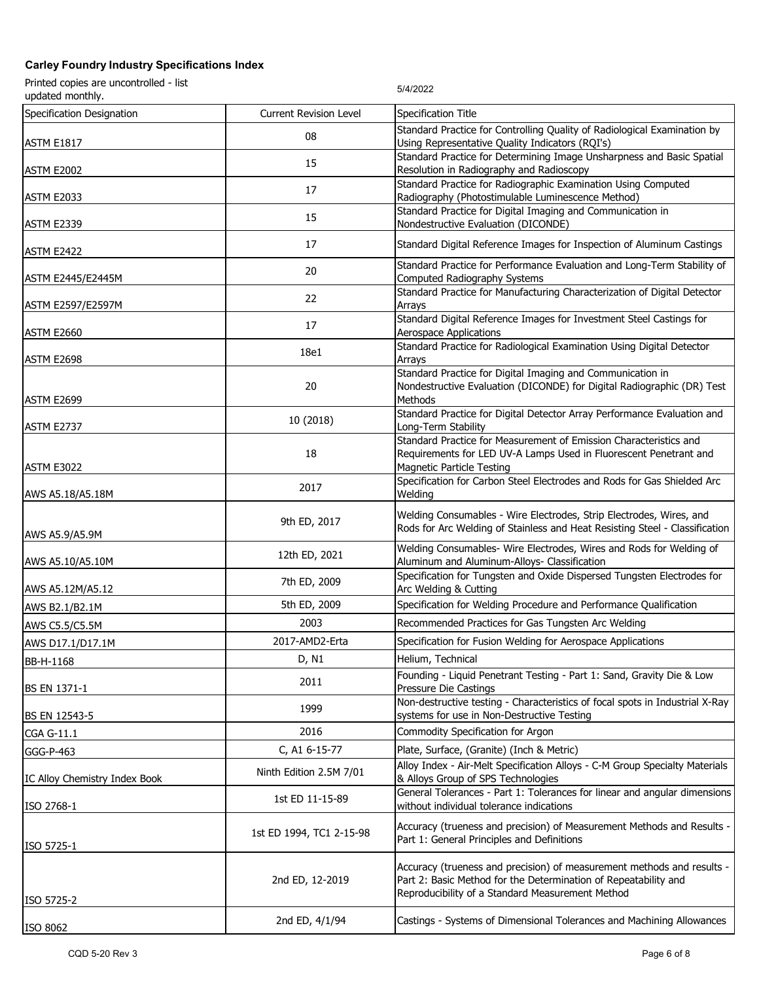| Printed copies are uncontrolled - list<br>updated monthly. |                               | 5/4/2022                                                                                                                                                                                      |
|------------------------------------------------------------|-------------------------------|-----------------------------------------------------------------------------------------------------------------------------------------------------------------------------------------------|
| Specification Designation                                  | <b>Current Revision Level</b> | Specification Title                                                                                                                                                                           |
| ASTM E1817                                                 | 08                            | Standard Practice for Controlling Quality of Radiological Examination by<br>Using Representative Quality Indicators (RQI's)                                                                   |
| ASTM E2002                                                 | 15                            | Standard Practice for Determining Image Unsharpness and Basic Spatial<br>Resolution in Radiography and Radioscopy                                                                             |
| ASTM E2033                                                 | 17                            | Standard Practice for Radiographic Examination Using Computed<br>Radiography (Photostimulable Luminescence Method)                                                                            |
| ASTM E2339                                                 | 15                            | Standard Practice for Digital Imaging and Communication in<br>Nondestructive Evaluation (DICONDE)                                                                                             |
| ASTM E2422                                                 | 17                            | Standard Digital Reference Images for Inspection of Aluminum Castings                                                                                                                         |
| <b>ASTM E2445/E2445M</b>                                   | 20                            | Standard Practice for Performance Evaluation and Long-Term Stability of<br>Computed Radiography Systems                                                                                       |
| <b>ASTM E2597/E2597M</b>                                   | 22                            | Standard Practice for Manufacturing Characterization of Digital Detector<br>Arrays                                                                                                            |
| ASTM E2660                                                 | 17                            | Standard Digital Reference Images for Investment Steel Castings for<br><b>Aerospace Applications</b>                                                                                          |
| ASTM E2698                                                 | 18e1                          | Standard Practice for Radiological Examination Using Digital Detector<br>Arrays                                                                                                               |
| ASTM E2699                                                 | 20                            | Standard Practice for Digital Imaging and Communication in<br>Nondestructive Evaluation (DICONDE) for Digital Radiographic (DR) Test<br>Methods                                               |
| ASTM E2737                                                 | 10 (2018)                     | Standard Practice for Digital Detector Array Performance Evaluation and<br>Long-Term Stability                                                                                                |
| ASTM E3022                                                 | 18                            | Standard Practice for Measurement of Emission Characteristics and<br>Requirements for LED UV-A Lamps Used in Fluorescent Penetrant and<br><b>Magnetic Particle Testing</b>                    |
| AWS A5.18/A5.18M                                           | 2017                          | Specification for Carbon Steel Electrodes and Rods for Gas Shielded Arc<br>Welding                                                                                                            |
| AWS A5.9/A5.9M                                             | 9th ED, 2017                  | Welding Consumables - Wire Electrodes, Strip Electrodes, Wires, and<br>Rods for Arc Welding of Stainless and Heat Resisting Steel - Classification                                            |
| AWS A5.10/A5.10M                                           | 12th ED, 2021                 | Welding Consumables- Wire Electrodes, Wires and Rods for Welding of<br>Aluminum and Aluminum-Alloys- Classification                                                                           |
| AWS A5.12M/A5.12                                           | 7th ED, 2009                  | Specification for Tungsten and Oxide Dispersed Tungsten Electrodes for<br>Arc Welding & Cutting                                                                                               |
| AWS B2.1/B2.1M                                             | 5th ED, 2009                  | Specification for Welding Procedure and Performance Qualification                                                                                                                             |
| AWS C5.5/C5.5M                                             | 2003                          | Recommended Practices for Gas Tungsten Arc Welding                                                                                                                                            |
| AWS D17.1/D17.1M                                           | 2017-AMD2-Erta                | Specification for Fusion Welding for Aerospace Applications                                                                                                                                   |
| BB-H-1168                                                  | D, N1                         | Helium, Technical                                                                                                                                                                             |
| BS EN 1371-1                                               | 2011                          | Founding - Liquid Penetrant Testing - Part 1: Sand, Gravity Die & Low<br>Pressure Die Castings                                                                                                |
| BS EN 12543-5                                              | 1999                          | Non-destructive testing - Characteristics of focal spots in Industrial X-Ray<br>systems for use in Non-Destructive Testing                                                                    |
| CGA G-11.1                                                 | 2016                          | Commodity Specification for Argon                                                                                                                                                             |
| GGG-P-463                                                  | C, A1 6-15-77                 | Plate, Surface, (Granite) (Inch & Metric)                                                                                                                                                     |
| IC Alloy Chemistry Index Book                              | Ninth Edition 2.5M 7/01       | Alloy Index - Air-Melt Specification Alloys - C-M Group Specialty Materials<br>& Alloys Group of SPS Technologies                                                                             |
| ISO 2768-1                                                 | 1st ED 11-15-89               | General Tolerances - Part 1: Tolerances for linear and angular dimensions<br>without individual tolerance indications                                                                         |
| ISO 5725-1                                                 | 1st ED 1994, TC1 2-15-98      | Accuracy (trueness and precision) of Measurement Methods and Results -<br>Part 1: General Principles and Definitions                                                                          |
| ISO 5725-2                                                 | 2nd ED, 12-2019               | Accuracy (trueness and precision) of measurement methods and results -<br>Part 2: Basic Method for the Determination of Repeatability and<br>Reproducibility of a Standard Measurement Method |
| ISO 8062                                                   | 2nd ED, 4/1/94                | Castings - Systems of Dimensional Tolerances and Machining Allowances                                                                                                                         |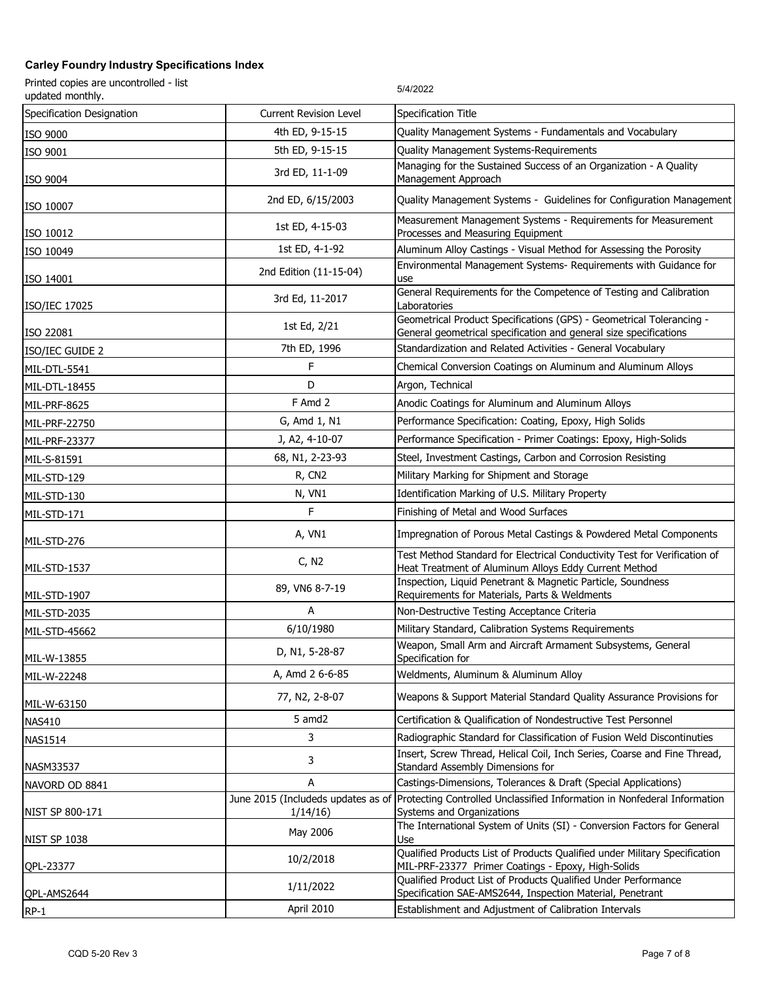| Printed copies are uncontrolled - list<br>updated monthly. |                               | 5/4/2022                                                                                                                                  |
|------------------------------------------------------------|-------------------------------|-------------------------------------------------------------------------------------------------------------------------------------------|
| Specification Designation                                  | <b>Current Revision Level</b> | Specification Title                                                                                                                       |
| ISO 9000                                                   | 4th ED, 9-15-15               | Quality Management Systems - Fundamentals and Vocabulary                                                                                  |
| ISO 9001                                                   | 5th ED, 9-15-15               | Quality Management Systems-Requirements                                                                                                   |
| ISO 9004                                                   | 3rd ED, 11-1-09               | Managing for the Sustained Success of an Organization - A Quality<br>Management Approach                                                  |
| ISO 10007                                                  | 2nd ED, 6/15/2003             | Quality Management Systems - Guidelines for Configuration Management                                                                      |
| ISO 10012                                                  | 1st ED, 4-15-03               | Measurement Management Systems - Requirements for Measurement<br>Processes and Measuring Equipment                                        |
| ISO 10049                                                  | 1st ED, 4-1-92                | Aluminum Alloy Castings - Visual Method for Assessing the Porosity                                                                        |
| ISO 14001                                                  | 2nd Edition (11-15-04)        | Environmental Management Systems- Requirements with Guidance for<br>use                                                                   |
| ISO/IEC 17025                                              | 3rd Ed, 11-2017               | General Requirements for the Competence of Testing and Calibration<br>Laboratories                                                        |
| ISO 22081                                                  | 1st Ed, 2/21                  | Geometrical Product Specifications (GPS) - Geometrical Tolerancing -<br>General geometrical specification and general size specifications |
| ISO/IEC GUIDE 2                                            | 7th ED, 1996                  | Standardization and Related Activities - General Vocabulary                                                                               |
| MIL-DTL-5541                                               | F                             | Chemical Conversion Coatings on Aluminum and Aluminum Alloys                                                                              |
| MIL-DTL-18455                                              | D                             | Argon, Technical                                                                                                                          |
| MIL-PRF-8625                                               | F Amd 2                       | Anodic Coatings for Aluminum and Aluminum Alloys                                                                                          |
| MIL-PRF-22750                                              | G, Amd 1, N1                  | Performance Specification: Coating, Epoxy, High Solids                                                                                    |
| MIL-PRF-23377                                              | J, A2, 4-10-07                | Performance Specification - Primer Coatings: Epoxy, High-Solids                                                                           |
| MIL-S-81591                                                | 68, N1, 2-23-93               | Steel, Investment Castings, Carbon and Corrosion Resisting                                                                                |
| MIL-STD-129                                                | R, CN <sub>2</sub>            | Military Marking for Shipment and Storage                                                                                                 |
| MIL-STD-130                                                | N, VN1                        | Identification Marking of U.S. Military Property                                                                                          |
| MIL-STD-171                                                | F                             | Finishing of Metal and Wood Surfaces                                                                                                      |
| MIL-STD-276                                                | A, VN1                        | Impregnation of Porous Metal Castings & Powdered Metal Components                                                                         |
| MIL-STD-1537                                               | C, N2                         | Test Method Standard for Electrical Conductivity Test for Verification of<br>Heat Treatment of Aluminum Alloys Eddy Current Method        |
| MIL-STD-1907                                               | 89, VN6 8-7-19                | Inspection, Liquid Penetrant & Magnetic Particle, Soundness<br>Requirements for Materials, Parts & Weldments                              |
| MIL-STD-2035                                               | A                             | Non-Destructive Testing Acceptance Criteria                                                                                               |
| MIL-STD-45662                                              | 6/10/1980                     | Military Standard, Calibration Systems Requirements                                                                                       |
| MIL-W-13855                                                | D, N1, 5-28-87                | Weapon, Small Arm and Aircraft Armament Subsystems, General<br>Specification for                                                          |
| MIL-W-22248                                                | A, Amd 2 6-6-85               | Weldments, Aluminum & Aluminum Alloy                                                                                                      |
| MIL-W-63150                                                | 77, N2, 2-8-07                | Weapons & Support Material Standard Quality Assurance Provisions for                                                                      |
| <b>NAS410</b>                                              | 5 amd2                        | Certification & Qualification of Nondestructive Test Personnel                                                                            |
| <b>NAS1514</b>                                             | 3                             | Radiographic Standard for Classification of Fusion Weld Discontinuties                                                                    |
| <b>NASM33537</b>                                           | 3                             | Insert, Screw Thread, Helical Coil, Inch Series, Coarse and Fine Thread,<br>Standard Assembly Dimensions for                              |
| NAVORD OD 8841                                             | A                             | Castings-Dimensions, Tolerances & Draft (Special Applications)                                                                            |
| NIST SP 800-171                                            | 1/14/16                       | June 2015 (Includeds updates as of Protecting Controlled Unclassified Information in Nonfederal Information<br>Systems and Organizations  |
| <b>NIST SP 1038</b>                                        | May 2006                      | The International System of Units (SI) - Conversion Factors for General<br>Use                                                            |
| QPL-23377                                                  | 10/2/2018                     | Qualified Products List of Products Qualified under Military Specification<br>MIL-PRF-23377 Primer Coatings - Epoxy, High-Solids          |
| QPL-AMS2644                                                | 1/11/2022                     | Qualified Product List of Products Qualified Under Performance<br>Specification SAE-AMS2644, Inspection Material, Penetrant               |
| $RP-1$                                                     | April 2010                    | Establishment and Adjustment of Calibration Intervals                                                                                     |